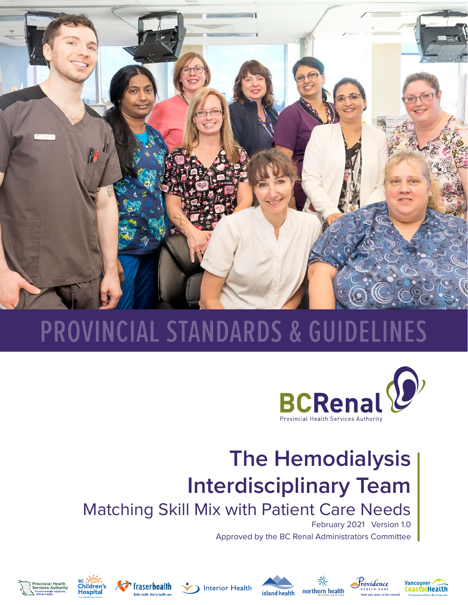

# PROVINCIAL STANDARDS & GUIDELINES

![](_page_0_Picture_2.jpeg)

## **The Hemodialysis Interdisciplinary Team**

Matching Skill Mix with Patient Care Needs

February 2021 Version 1.0

,<br>ovidence

oastalHealth

Vancouver

Approved by the BC Renal Administrators Committee

![](_page_0_Picture_7.jpeg)

![](_page_0_Picture_8.jpeg)

![](_page_0_Picture_9.jpeg)

![](_page_0_Picture_10.jpeg)

![](_page_0_Picture_11.jpeg)

![](_page_0_Picture_12.jpeg)

![](_page_0_Picture_13.jpeg)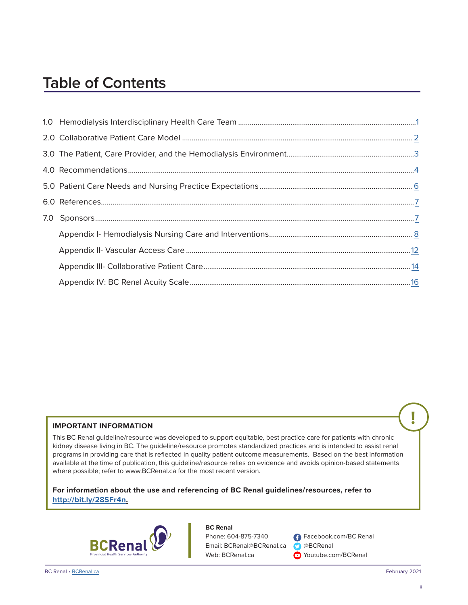## **Table of Contents**

#### **IMPORTANT INFORMATION**

This BC Renal guideline/resource was developed to support equitable, best practice care for patients with chronic kidney disease living in BC. The guideline/resource promotes standardized practices and is intended to assist renal programs in providing care that is reflected in quality patient outcome measurements. Based on the best information available at the time of publication, this guideline/resource relies on evidence and avoids opinion-based statements where possible; refer to www.BCRenal.ca for the most recent version.

**For information about the use and referencing of BC Renal guidelines/resources, refer to http://bit.ly/28SFr4n.**

![](_page_1_Picture_5.jpeg)

#### **BC Renal**

Phone: 604-875-7340 Email: BCRenal@BCRenal.ca Web: BCRenal.ca

**f** Facebook.com/BC Renal @BCRenal **O** Youtube.com/BCRenal

**!**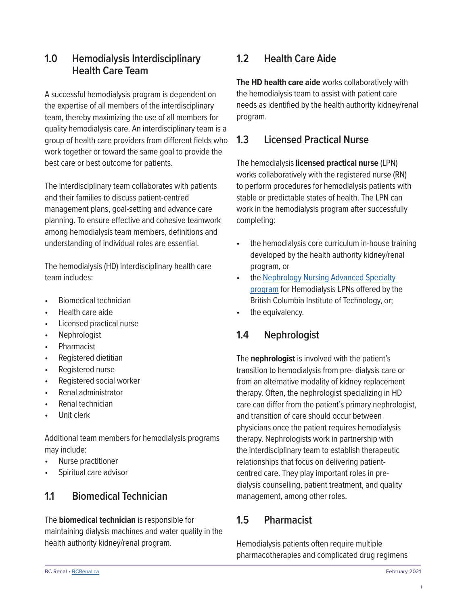#### <span id="page-2-0"></span>**1.0 Hemodialysis Interdisciplinary Health Care Team**

A successful hemodialysis program is dependent on the expertise of all members of the interdisciplinary team, thereby maximizing the use of all members for quality hemodialysis care. An interdisciplinary team is a group of health care providers from different fields who work together or toward the same goal to provide the best care or best outcome for patients.

The interdisciplinary team collaborates with patients and their families to discuss patient-centred management plans, goal-setting and advance care planning. To ensure effective and cohesive teamwork among hemodialysis team members, definitions and understanding of individual roles are essential.

The hemodialysis (HD) interdisciplinary health care team includes:

- Biomedical technician
- Health care aide
- Licensed practical nurse
- Nephrologist
- **Pharmacist**
- Registered dietitian
- Registered nurse
- Registered social worker
- Renal administrator
- Renal technician
- Unit clerk

Additional team members for hemodialysis programs may include:

- Nurse practitioner
- Spiritual care advisor

### **1.1 Biomedical Technician**

The **biomedical technician** is responsible for maintaining dialysis machines and water quality in the health authority kidney/renal program.

#### **1.2 Health Care Aide**

**The HD health care aide** works collaboratively with the hemodialysis team to assist with patient care needs as identified by the health authority kidney/renal program.

#### **1.3 Licensed Practical Nurse**

The hemodialysis **licensed practical nurse** (LPN) works collaboratively with the registered nurse (RN) to perform procedures for hemodialysis patients with stable or predictable states of health. The LPN can work in the hemodialysis program after successfully completing:

- the hemodialysis core curriculum in-house training developed by the health authority kidney/renal program, or
- the Nephrology Nursing Advanced Specialty [program](https://www.bcit.ca/programs/nephrology-nursing-specialty-advanced-certificate-part-time-distance-and-online-learning-680mascert/) for Hemodialysis LPNs offered by the British Columbia Institute of Technology, or;
- the equivalency.

### **1.4 Nephrologist**

The **nephrologist** is involved with the patient's transition to hemodialysis from pre- dialysis care or from an alternative modality of kidney replacement therapy. Often, the nephrologist specializing in HD care can differ from the patient's primary nephrologist, and transition of care should occur between physicians once the patient requires hemodialysis therapy. Nephrologists work in partnership with the interdisciplinary team to establish therapeutic relationships that focus on delivering patientcentred care. They play important roles in predialysis counselling, patient treatment, and quality management, among other roles.

### **1.5 Pharmacist**

Hemodialysis patients often require multiple pharmacotherapies and complicated drug regimens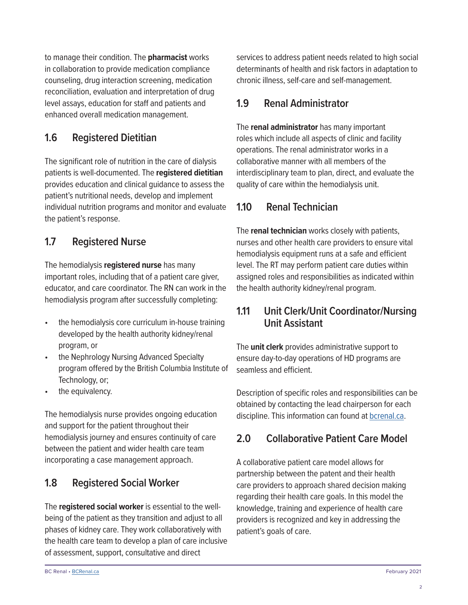<span id="page-3-0"></span>to manage their condition. The **pharmacist** works in collaboration to provide medication compliance counseling, drug interaction screening, medication reconciliation, evaluation and interpretation of drug level assays, education for staff and patients and enhanced overall medication management.

#### **1.6 Registered Dietitian**

The significant role of nutrition in the care of dialysis patients is well-documented. The **registered dietitian**  provides education and clinical guidance to assess the patient's nutritional needs, develop and implement individual nutrition programs and monitor and evaluate the patient's response.

#### **1.7 Registered Nurse**

The hemodialysis **registered nurse** has many important roles, including that of a patient care giver, educator, and care coordinator. The RN can work in the hemodialysis program after successfully completing:

- the hemodialysis core curriculum in-house training developed by the health authority kidney/renal program, or
- the Nephrology Nursing Advanced Specialty program offered by the British Columbia Institute of Technology, or;
- the equivalency.

The hemodialysis nurse provides ongoing education and support for the patient throughout their hemodialysis journey and ensures continuity of care between the patient and wider health care team incorporating a case management approach.

#### **1.8 Registered Social Worker**

The **registered social worker** is essential to the wellbeing of the patient as they transition and adjust to all phases of kidney care. They work collaboratively with the health care team to develop a plan of care inclusive of assessment, support, consultative and direct

services to address patient needs related to high social determinants of health and risk factors in adaptation to chronic illness, self-care and self-management.

#### **1.9 Renal Administrator**

The **renal administrator** has many important roles which include all aspects of clinic and facility operations. The renal administrator works in a collaborative manner with all members of the interdisciplinary team to plan, direct, and evaluate the quality of care within the hemodialysis unit.

#### **1.10 Renal Technician**

The **renal technician** works closely with patients, nurses and other health care providers to ensure vital hemodialysis equipment runs at a safe and efficient level. The RT may perform patient care duties within assigned roles and responsibilities as indicated within the health authority kidney/renal program.

#### **1.11 Unit Clerk/Unit Coordinator/Nursing Unit Assistant**

The **unit clerk** provides administrative support to ensure day-to-day operations of HD programs are seamless and efficient.

Description of specific roles and responsibilities can be obtained by contacting the lead chairperson for each discipline. This information can found at [bcrenal.ca.](http://www.bcrenal.ca)

### **2.0 Collaborative Patient Care Model**

A collaborative patient care model allows for partnership between the patent and their health care providers to approach shared decision making regarding their health care goals. In this model the knowledge, training and experience of health care providers is recognized and key in addressing the patient's goals of care.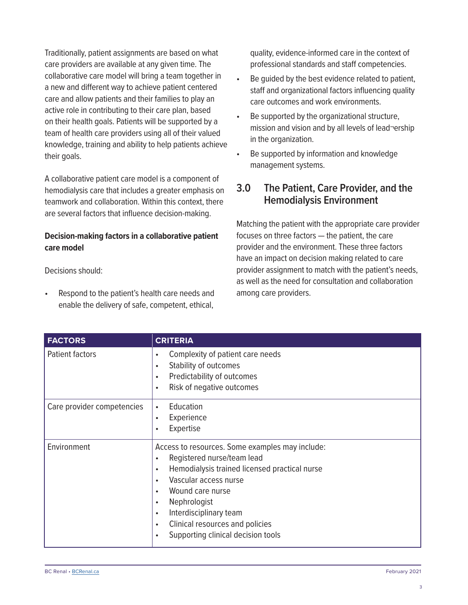<span id="page-4-0"></span>Traditionally, patient assignments are based on what care providers are available at any given time. The collaborative care model will bring a team together in a new and different way to achieve patient centered care and allow patients and their families to play an active role in contributing to their care plan, based on their health goals. Patients will be supported by a team of health care providers using all of their valued knowledge, training and ability to help patients achieve their goals.

A collaborative patient care model is a component of hemodialysis care that includes a greater emphasis on teamwork and collaboration. Within this context, there are several factors that influence decision-making.

#### **Decision-making factors in a collaborative patient care model**

Decisions should:

• Respond to the patient's health care needs and enable the delivery of safe, competent, ethical, quality, evidence-informed care in the context of professional standards and staff competencies.

- Be quided by the best evidence related to patient, staff and organizational factors influencing quality care outcomes and work environments.
- Be supported by the organizational structure, mission and vision and by all levels of lead¬ership in the organization.
- Be supported by information and knowledge management systems.

#### **3.0 The Patient, Care Provider, and the Hemodialysis Environment**

Matching the patient with the appropriate care provider focuses on three factors — the patient, the care provider and the environment. These three factors have an impact on decision making related to care provider assignment to match with the patient's needs, as well as the need for consultation and collaboration among care providers.

| <b>FACTORS</b>             | <b>CRITERIA</b>                                                                                                                                                                                                                                                                                                                                                                                        |
|----------------------------|--------------------------------------------------------------------------------------------------------------------------------------------------------------------------------------------------------------------------------------------------------------------------------------------------------------------------------------------------------------------------------------------------------|
| Patient factors            | Complexity of patient care needs<br>$\bullet$<br>Stability of outcomes<br>$\bullet$<br>Predictability of outcomes<br>$\bullet$<br>Risk of negative outcomes<br>$\bullet$                                                                                                                                                                                                                               |
| Care provider competencies | Education<br>$\bullet$<br>Experience<br>$\bullet$<br>Expertise<br>$\bullet$                                                                                                                                                                                                                                                                                                                            |
| Environment                | Access to resources. Some examples may include:<br>Registered nurse/team lead<br>$\bullet$<br>Hemodialysis trained licensed practical nurse<br>$\bullet$<br>Vascular access nurse<br>$\bullet$<br>Wound care nurse<br>$\bullet$<br>Nephrologist<br>$\bullet$<br>Interdisciplinary team<br>$\bullet$<br>Clinical resources and policies<br>$\bullet$<br>Supporting clinical decision tools<br>$\bullet$ |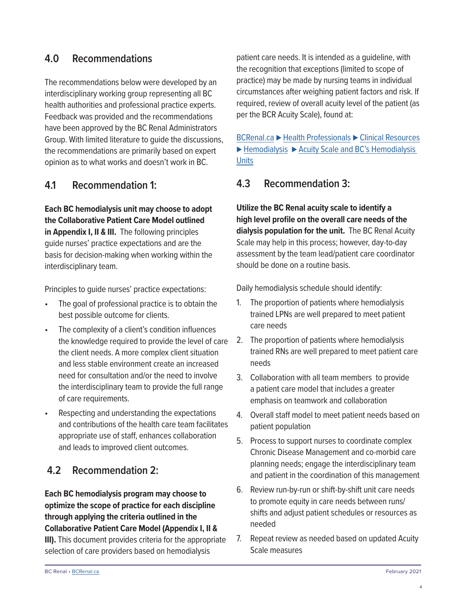#### <span id="page-5-0"></span>**4.0 Recommendations**

The recommendations below were developed by an interdisciplinary working group representing all BC health authorities and professional practice experts. Feedback was provided and the recommendations have been approved by the BC Renal Administrators Group. With limited literature to guide the discussions, the recommendations are primarily based on expert opinion as to what works and doesn't work in BC.

#### **4.1 Recommendation 1:**

**Each BC hemodialysis unit may choose to adopt the Collaborative Patient Care Model outlined in Appendix I, II & III.** The following principles guide nurses' practice expectations and are the basis for decision-making when working within the interdisciplinary team.

Principles to guide nurses' practice expectations:

- The goal of professional practice is to obtain the best possible outcome for clients.
- The complexity of a client's condition influences the knowledge required to provide the level of care the client needs. A more complex client situation and less stable environment create an increased need for consultation and/or the need to involve the interdisciplinary team to provide the full range of care requirements.
- Respecting and understanding the expectations and contributions of the health care team facilitates appropriate use of staff, enhances collaboration and leads to improved client outcomes.

#### **4.2 Recommendation 2:**

**Each BC hemodialysis program may choose to optimize the scope of practice for each discipline through applying the criteria outlined in the Collaborative Patient Care Model (Appendix I, II & III).** This document provides criteria for the appropriate selection of care providers based on hemodialysis

patient care needs. It is intended as a guideline, with the recognition that exceptions (limited to scope of practice) may be made by nursing teams in individual circumstances after weighing patient factors and risk. If required, review of overall acuity level of the patient (as per the BCR Acuity Scale), found at:

BCRenal.ca **⊲** [Health Professionals](http://www.bcrenal.ca/health-professionals/clinical-resources/hemodialysis) **⊲** Clinical Resources **⊲** Hemodialysis **⊲** [Acuity Scale and BC's Hemodialysis](http://www.bcrenal.ca/health-professionals/clinical-resources/hemodialysis)  **[Units](http://www.bcrenal.ca/health-professionals/clinical-resources/hemodialysis)** 

#### **4.3 Recommendation 3:**

**Utilize the BC Renal acuity scale to identify a high level profile on the overall care needs of the dialysis population for the unit.** The BC Renal Acuity Scale may help in this process; however, day-to-day assessment by the team lead/patient care coordinator should be done on a routine basis.

Daily hemodialysis schedule should identify:

- 1. The proportion of patients where hemodialysis trained LPNs are well prepared to meet patient care needs
- 2. The proportion of patients where hemodialysis trained RNs are well prepared to meet patient care needs
- 3. Collaboration with all team members to provide a patient care model that includes a greater emphasis on teamwork and collaboration
- 4. Overall staff model to meet patient needs based on patient population
- 5. Process to support nurses to coordinate complex Chronic Disease Management and co-morbid care planning needs; engage the interdisciplinary team and patient in the coordination of this management
- 6. Review run-by-run or shift-by-shift unit care needs to promote equity in care needs between runs/ shifts and adjust patient schedules or resources as needed
- 7. Repeat review as needed based on updated Acuity Scale measures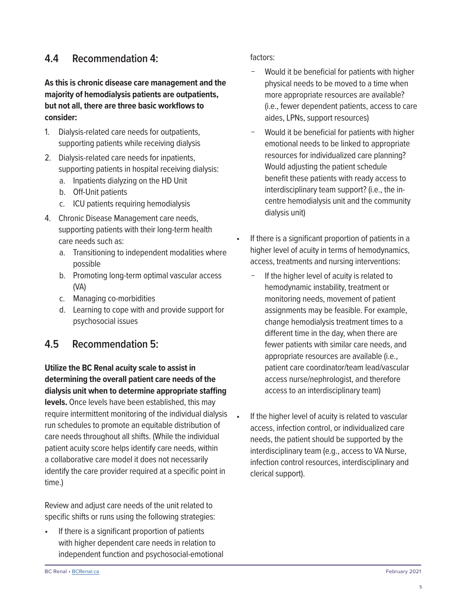#### **4.4 Recommendation 4:**

#### **As this is chronic disease care management and the majority of hemodialysis patients are outpatients, but not all, there are three basic workflows to consider:**

- 1. Dialysis-related care needs for outpatients, supporting patients while receiving dialysis
- 2. Dialysis-related care needs for inpatients, supporting patients in hospital receiving dialysis:
	- a. Inpatients dialyzing on the HD Unit
	- b. Off-Unit patients
	- c. ICU patients requiring hemodialysis
- 4. Chronic Disease Management care needs, supporting patients with their long-term health care needs such as:
	- a. Transitioning to independent modalities where possible
	- b. Promoting long-term optimal vascular access (VA)
	- c. Managing co-morbidities
	- d. Learning to cope with and provide support for psychosocial issues

#### **4.5 Recommendation 5:**

**Utilize the BC Renal acuity scale to assist in determining the overall patient care needs of the dialysis unit when to determine appropriate staffing levels.** Once levels have been established, this may require intermittent monitoring of the individual dialysis run schedules to promote an equitable distribution of care needs throughout all shifts. (While the individual patient acuity score helps identify care needs, within a collaborative care model it does not necessarily identify the care provider required at a specific point in time.)

Review and adjust care needs of the unit related to specific shifts or runs using the following strategies:

• If there is a significant proportion of patients with higher dependent care needs in relation to independent function and psychosocial-emotional factors:

- Would it be beneficial for patients with higher physical needs to be moved to a time when more appropriate resources are available? (i.e., fewer dependent patients, access to care aides, LPNs, support resources)
- − Would it be beneficial for patients with higher emotional needs to be linked to appropriate resources for individualized care planning? Would adjusting the patient schedule benefit these patients with ready access to interdisciplinary team support? (i.e., the incentre hemodialysis unit and the community dialysis unit)
- If there is a significant proportion of patients in a higher level of acuity in terms of hemodynamics, access, treatments and nursing interventions:
	- If the higher level of acuity is related to hemodynamic instability, treatment or monitoring needs, movement of patient assignments may be feasible. For example, change hemodialysis treatment times to a different time in the day, when there are fewer patients with similar care needs, and appropriate resources are available (i.e., patient care coordinator/team lead/vascular access nurse/nephrologist, and therefore access to an interdisciplinary team)
- If the higher level of acuity is related to vascular access, infection control, or individualized care needs, the patient should be supported by the interdisciplinary team (e.g., access to VA Nurse, infection control resources, interdisciplinary and clerical support).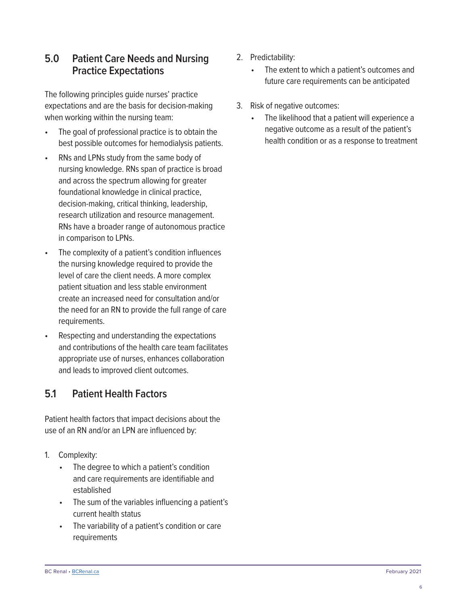#### <span id="page-7-0"></span>**5.0 Patient Care Needs and Nursing Practice Expectations**

The following principles guide nurses' practice expectations and are the basis for decision-making when working within the nursing team:

- The goal of professional practice is to obtain the best possible outcomes for hemodialysis patients.
- RNs and LPNs study from the same body of nursing knowledge. RNs span of practice is broad and across the spectrum allowing for greater foundational knowledge in clinical practice, decision-making, critical thinking, leadership, research utilization and resource management. RNs have a broader range of autonomous practice in comparison to LPNs.
- The complexity of a patient's condition influences the nursing knowledge required to provide the level of care the client needs. A more complex patient situation and less stable environment create an increased need for consultation and/or the need for an RN to provide the full range of care requirements.
- Respecting and understanding the expectations and contributions of the health care team facilitates appropriate use of nurses, enhances collaboration and leads to improved client outcomes.

### **5.1 Patient Health Factors**

Patient health factors that impact decisions about the use of an RN and/or an LPN are influenced by:

- 1. Complexity:
	- The degree to which a patient's condition and care requirements are identifiable and established
	- The sum of the variables influencing a patient's current health status
	- The variability of a patient's condition or care requirements
- 2. Predictability:
	- The extent to which a patient's outcomes and future care requirements can be anticipated
- 3. Risk of negative outcomes:
	- The likelihood that a patient will experience a negative outcome as a result of the patient's health condition or as a response to treatment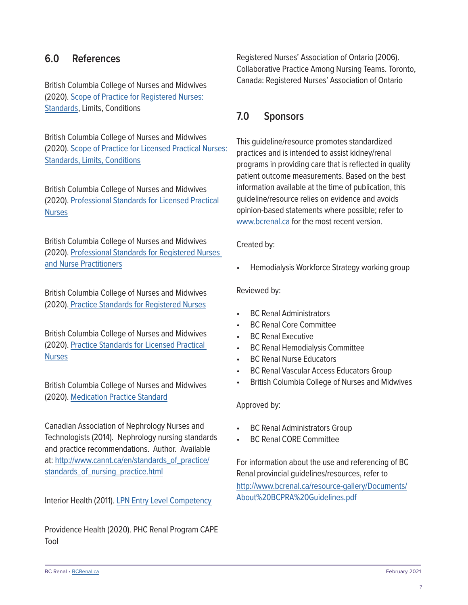#### <span id="page-8-0"></span>**6.0 References**

British Columbia College of Nurses and Midwives (2020). [Scope of Practice for Registered Nurses:](https://www.bccnm.ca/RN/ScopePractice/Pages/Default.aspx)  [Standards](https://www.bccnm.ca/RN/ScopePractice/Pages/Default.aspx), Limits, Conditions

British Columbia College of Nurses and Midwives (2020). [Scope of Practice for Licensed Practical Nurses:](https://www.bccnm.ca/Documents/standards_practice/lpn/LPN_ScopeOfPractice.pdf)  [Standards, Limits, Conditions](https://www.bccnm.ca/Documents/standards_practice/lpn/LPN_ScopeOfPractice.pdf)

British Columbia College of Nurses and Midwives (2020). [Professional Standards for Licensed Practical](https://www.bccnm.ca/Documents/standards_practice/lpn/LPN_ProfessionalStandards.pdf)  **[Nurses](https://www.bccnm.ca/Documents/standards_practice/lpn/LPN_ProfessionalStandards.pdf)** 

British Columbia College of Nurses and Midwives (2020). [Professional Standards for Registered Nurses](https://www.bccnm.ca/NP/ProfessionalStandards/Pages/Default.aspx)  [and Nurse Practitioners](https://www.bccnm.ca/NP/ProfessionalStandards/Pages/Default.aspx)

British Columbia College of Nurses and Midwives (2020)[. Practice Standards for Registered Nurses](https://www.bccnm.ca/RN/PracticeStandards/Pages/Default.aspx)

British Columbia College of Nurses and Midwives (2020). [Practice Standards for Licensed Practical](https://www.bccnm.ca/LPN/PracticeStandards/Pages/Default.aspx)  **[Nurses](https://www.bccnm.ca/LPN/PracticeStandards/Pages/Default.aspx)** 

British Columbia College of Nurses and Midwives (2020). [Medication Practice Standard](https://www.bccnm.ca/LPN/PracticeStandards/Lists/GeneralResources/LPN_PS_Medication.pdf)

Canadian Association of Nephrology Nurses and Technologists (2014). Nephrology nursing standards and practice recommendations. Author. Available at: [http://www.cannt.ca/en/standards\\_of\\_practice/](https://cannt-acitn.ca/) [standards\\_of\\_nursing\\_practice.html](https://cannt-acitn.ca/)

Interior Health (2011). [LPN Entry Level Competency](http://insidenet.interiorhealth.ca/education/clinicaled/Documents/LPN%20Entry%20Level%20Competencies.pdf)

Providence Health (2020). PHC Renal Program CAPE Tool

Registered Nurses' Association of Ontario (2006). Collaborative Practice Among Nursing Teams. Toronto, Canada: Registered Nurses' Association of Ontario

#### **7.0 Sponsors**

This guideline/resource promotes standardized practices and is intended to assist kidney/renal programs in providing care that is reflected in quality patient outcome measurements. Based on the best information available at the time of publication, this guideline/resource relies on evidence and avoids opinion-based statements where possible; refer to [www.bcrenal.ca](http://www.bcrenal.ca) for the most recent version.

Created by:

• Hemodialysis Workforce Strategy working group

Reviewed by:

- BC Renal Administrators
- BC Renal Core Committee
- BC Renal Executive
- BC Renal Hemodialysis Committee
- BC Renal Nurse Educators
- BC Renal Vascular Access Educators Group
- British Columbia College of Nurses and Midwives

Approved by:

- **BC Renal Administrators Group**
- BC Renal CORE Committee

For information about the use and referencing of BC Renal provincial guidelines/resources, refer to [http://www.bcrenal.ca/resource-gallery/Documents/](http://www.bcrenal.ca/resource-gallery/Documents/About%20BCPRA%20Guidelines.pdf) [About%20BCPRA%20Guidelines.pdf](http://www.bcrenal.ca/resource-gallery/Documents/About%20BCPRA%20Guidelines.pdf)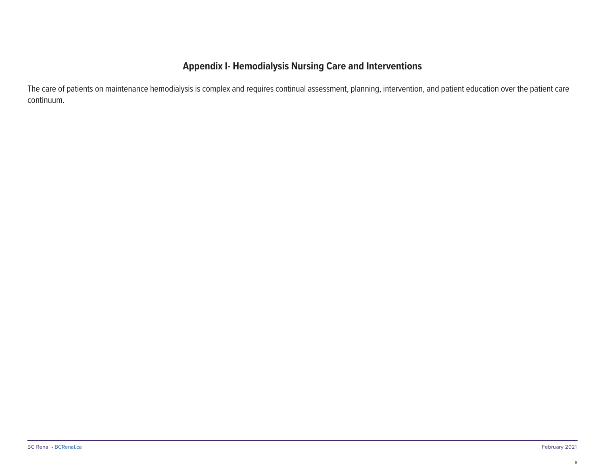#### **Appendix I- Hemodialysis Nursing Care and Interventions**

<span id="page-9-0"></span>The care of patients on maintenance hemodialysis is complex and requires continual assessment, planning, intervention, and patient education over the patient care continuum.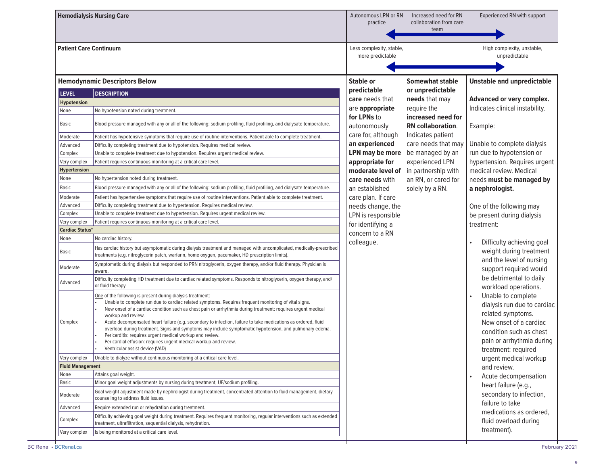|                               | <b>Hemodialysis Nursing Care</b>                                                                                                                                                                                                                                                                                                                                                                                                                                                                                                                                                                                                                                                                       | Autonomous LPN or RN<br>practice                                                            | Increased need for RN<br>collaboration from care<br>team | Experienced RN with support                                                                                                                                                     |
|-------------------------------|--------------------------------------------------------------------------------------------------------------------------------------------------------------------------------------------------------------------------------------------------------------------------------------------------------------------------------------------------------------------------------------------------------------------------------------------------------------------------------------------------------------------------------------------------------------------------------------------------------------------------------------------------------------------------------------------------------|---------------------------------------------------------------------------------------------|----------------------------------------------------------|---------------------------------------------------------------------------------------------------------------------------------------------------------------------------------|
| <b>Patient Care Continuum</b> |                                                                                                                                                                                                                                                                                                                                                                                                                                                                                                                                                                                                                                                                                                        | Less complexity, stable,<br>High complexity, unstable,<br>more predictable<br>unpredictable |                                                          |                                                                                                                                                                                 |
|                               | <b>Hemodynamic Descriptors Below</b>                                                                                                                                                                                                                                                                                                                                                                                                                                                                                                                                                                                                                                                                   | <b>Stable or</b>                                                                            | <b>Somewhat stable</b>                                   | <b>Unstable and unpredictable</b>                                                                                                                                               |
| <b>LEVEL</b>                  | <b>DESCRIPTION</b>                                                                                                                                                                                                                                                                                                                                                                                                                                                                                                                                                                                                                                                                                     | predictable                                                                                 | or unpredictable                                         |                                                                                                                                                                                 |
| <b>Hypotension</b>            |                                                                                                                                                                                                                                                                                                                                                                                                                                                                                                                                                                                                                                                                                                        | care needs that                                                                             | needs that may                                           | Advanced or very complex.                                                                                                                                                       |
| None                          | No hypotension noted during treatment.                                                                                                                                                                                                                                                                                                                                                                                                                                                                                                                                                                                                                                                                 | are appropriate                                                                             | require the                                              | Indicates clinical instability.                                                                                                                                                 |
| Basic                         | Blood pressure managed with any or all of the following: sodium profiling, fluid profiling, and dialysate temperature.                                                                                                                                                                                                                                                                                                                                                                                                                                                                                                                                                                                 | for LPNs to<br>autonomously                                                                 | increased need for<br><b>RN</b> collaboration.           | Example:                                                                                                                                                                        |
| Moderate                      | Patient has hypotensive symptoms that require use of routine interventions. Patient able to complete treatment.                                                                                                                                                                                                                                                                                                                                                                                                                                                                                                                                                                                        | care for, although                                                                          | Indicates patient                                        |                                                                                                                                                                                 |
| Advanced                      | Difficulty completing treatment due to hypotension. Requires medical review.                                                                                                                                                                                                                                                                                                                                                                                                                                                                                                                                                                                                                           | an experienced                                                                              | care needs that may                                      | Unable to complete dialysis                                                                                                                                                     |
| Complex                       | Unable to complete treatment due to hypotension. Requires urgent medical review.                                                                                                                                                                                                                                                                                                                                                                                                                                                                                                                                                                                                                       | <b>LPN</b> may be more                                                                      | be managed by an                                         | run due to hypotension or                                                                                                                                                       |
| Very complex                  | Patient requires continuous monitoring at a critical care level.                                                                                                                                                                                                                                                                                                                                                                                                                                                                                                                                                                                                                                       | appropriate for                                                                             | experienced LPN                                          | hypertension. Requires urgent                                                                                                                                                   |
| <b>Hypertension</b>           |                                                                                                                                                                                                                                                                                                                                                                                                                                                                                                                                                                                                                                                                                                        | moderate level of                                                                           | in partnership with                                      | medical review. Medical                                                                                                                                                         |
| None                          | No hypertension noted during treatment.                                                                                                                                                                                                                                                                                                                                                                                                                                                                                                                                                                                                                                                                | care needs with                                                                             | an RN, or cared for                                      | needs must be managed by                                                                                                                                                        |
| Basic                         | Blood pressure managed with any or all of the following: sodium profiling, fluid profiling, and dialysate temperature.                                                                                                                                                                                                                                                                                                                                                                                                                                                                                                                                                                                 | an established                                                                              | solely by a RN.                                          | a nephrologist.                                                                                                                                                                 |
| Moderate                      | Patient has hypertensive symptoms that require use of routine interventions. Patient able to complete treatment.                                                                                                                                                                                                                                                                                                                                                                                                                                                                                                                                                                                       | care plan. If care                                                                          |                                                          |                                                                                                                                                                                 |
| Advanced                      | Difficulty completing treatment due to hypertension. Requires medical review.                                                                                                                                                                                                                                                                                                                                                                                                                                                                                                                                                                                                                          | needs change, the                                                                           |                                                          | One of the following may                                                                                                                                                        |
| Complex                       | Unable to complete treatment due to hypertension. Requires urgent medical review.                                                                                                                                                                                                                                                                                                                                                                                                                                                                                                                                                                                                                      | LPN is responsible                                                                          |                                                          | be present during dialysis                                                                                                                                                      |
| Very complex                  | Patient requires continuous monitoring at a critical care level.                                                                                                                                                                                                                                                                                                                                                                                                                                                                                                                                                                                                                                       | for identifying a                                                                           |                                                          | treatment:                                                                                                                                                                      |
| <b>Cardiac Status*</b>        |                                                                                                                                                                                                                                                                                                                                                                                                                                                                                                                                                                                                                                                                                                        | concern to a RN                                                                             |                                                          |                                                                                                                                                                                 |
| None                          | No cardiac history.                                                                                                                                                                                                                                                                                                                                                                                                                                                                                                                                                                                                                                                                                    | colleague.                                                                                  |                                                          | Difficulty achieving goal                                                                                                                                                       |
| Basic                         | Has cardiac history but asymptomatic during dialysis treatment and managed with uncomplicated, medically-prescribed<br>treatments (e.g. nitroglycerin patch, warfarin, home oxygen, pacemaker, HD prescription limits).                                                                                                                                                                                                                                                                                                                                                                                                                                                                                |                                                                                             |                                                          | weight during treatment<br>and the level of nursing                                                                                                                             |
| Moderate                      | Symptomatic during dialysis but responded to PRN nitroglycerin, oxygen therapy, and/or fluid therapy. Physician is<br>aware.                                                                                                                                                                                                                                                                                                                                                                                                                                                                                                                                                                           |                                                                                             |                                                          | support required would                                                                                                                                                          |
| Advanced                      | Difficulty completing HD treatment due to cardiac related symptoms. Responds to nitroglycerin, oxygen therapy, and/<br>or fluid therapy.                                                                                                                                                                                                                                                                                                                                                                                                                                                                                                                                                               |                                                                                             |                                                          | be detrimental to daily<br>workload operations.                                                                                                                                 |
| Complex                       | One of the following is present during dialysis treatment:<br>Unable to complete run due to cardiac related symptoms. Requires frequent monitoring of vital signs.<br>New onset of a cardiac condition such as chest pain or arrhythmia during treatment: requires urgent medical<br>workup and review.<br>Acute decompensated heart failure (e.g. secondary to infection, failure to take medications as ordered, fluid<br>overload during treatment. Signs and symptoms may include symptomatic hypotension, and pulmonary edema.<br>Pericarditis: requires urgent medical workup and review.<br>Pericardial effusion: requires urgent medical workup and review.<br>Ventricular assist device (VAD) |                                                                                             |                                                          | Unable to complete<br>dialysis run due to cardiac<br>related symptoms.<br>New onset of a cardiac<br>condition such as chest<br>pain or arrhythmia during<br>treatment: required |
| Very complex                  | Unable to dialyze without continuous monitoring at a critical care level.                                                                                                                                                                                                                                                                                                                                                                                                                                                                                                                                                                                                                              |                                                                                             |                                                          | urgent medical workup                                                                                                                                                           |
| <b>Fluid Management</b>       |                                                                                                                                                                                                                                                                                                                                                                                                                                                                                                                                                                                                                                                                                                        |                                                                                             |                                                          | and review.                                                                                                                                                                     |
| None                          | Attains goal weight.                                                                                                                                                                                                                                                                                                                                                                                                                                                                                                                                                                                                                                                                                   |                                                                                             |                                                          | Acute decompensation                                                                                                                                                            |
| Basic                         | Minor goal weight adjustments by nursing during treatment, UF/sodium profiling.                                                                                                                                                                                                                                                                                                                                                                                                                                                                                                                                                                                                                        |                                                                                             |                                                          | heart failure (e.g.,                                                                                                                                                            |
| Moderate                      | Goal weight adjustment made by nephrologist during treatment, concentrated attention to fluid management, dietary<br>counseling to address fluid issues.                                                                                                                                                                                                                                                                                                                                                                                                                                                                                                                                               |                                                                                             |                                                          | secondary to infection,<br>failure to take                                                                                                                                      |
| Advanced                      | Require extended run or rehydration during treatment.                                                                                                                                                                                                                                                                                                                                                                                                                                                                                                                                                                                                                                                  |                                                                                             |                                                          | medications as ordered,                                                                                                                                                         |
| Complex                       | Difficulty achieving goal weight during treatment. Requires frequent monitoring, regular interventions such as extended<br>treatment, ultrafiltration, sequential dialysis, rehydration.                                                                                                                                                                                                                                                                                                                                                                                                                                                                                                               |                                                                                             |                                                          | fluid overload during                                                                                                                                                           |
| Very complex                  | Is being monitored at a critical care level.                                                                                                                                                                                                                                                                                                                                                                                                                                                                                                                                                                                                                                                           |                                                                                             |                                                          | treatment).                                                                                                                                                                     |
|                               |                                                                                                                                                                                                                                                                                                                                                                                                                                                                                                                                                                                                                                                                                                        |                                                                                             |                                                          |                                                                                                                                                                                 |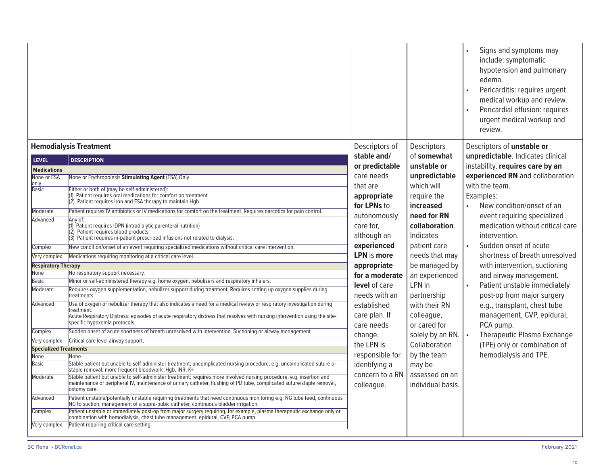|                               |                                                                                                                                                                                                                                                                |                                  |                          | Signs and symptoms may<br>include: symptomatic<br>hypotension and pulmonary<br>edema.<br>Pericarditis: requires urgent<br>medical workup and review.<br>Pericardial effusion: requires<br>urgent medical workup and<br>review. |  |
|-------------------------------|----------------------------------------------------------------------------------------------------------------------------------------------------------------------------------------------------------------------------------------------------------------|----------------------------------|--------------------------|--------------------------------------------------------------------------------------------------------------------------------------------------------------------------------------------------------------------------------|--|
|                               | <b>Hemodialysis Treatment</b>                                                                                                                                                                                                                                  | Descriptors of                   | Descriptors              | Descriptors of unstable or                                                                                                                                                                                                     |  |
| <b>LEVEL</b>                  | <b>DESCRIPTION</b>                                                                                                                                                                                                                                             | stable and/                      | of somewhat              | unpredictable. Indicates clinical                                                                                                                                                                                              |  |
| <b>Medications</b>            |                                                                                                                                                                                                                                                                | or predictable                   | unstable or              | instability, requires care by an                                                                                                                                                                                               |  |
| None or ESA                   | None or Erythropoiesis Stimulating Agent (ESA) Only                                                                                                                                                                                                            | care needs                       | unpredictable            | experienced RN and collaboration                                                                                                                                                                                               |  |
| only                          | Either or both of (may be self-administered):                                                                                                                                                                                                                  | that are                         | which will               | with the team.                                                                                                                                                                                                                 |  |
| Basic                         | (1) Patient requires oral medications for comfort on treatment                                                                                                                                                                                                 | appropriate                      | require the              | Examples:                                                                                                                                                                                                                      |  |
|                               | (2) Patient requires iron and ESA therapy to maintain Hgb                                                                                                                                                                                                      | for LPNs to                      | increased                | New condition/onset of an                                                                                                                                                                                                      |  |
| Moderate                      | Patient requires IV antibiotics or IV medications for comfort on the treatment. Requires narcotics for pain control.                                                                                                                                           | autonomously                     | need for RN              | event requiring specialized                                                                                                                                                                                                    |  |
| Advanced                      | Any of:<br>(1) Patient requires IDPN (intradialytic parenteral nutrition)                                                                                                                                                                                      | care for,                        | collaboration.           | medication without critical care                                                                                                                                                                                               |  |
|                               | (2) Patient requires blood products                                                                                                                                                                                                                            |                                  | Indicates                | intervention.                                                                                                                                                                                                                  |  |
|                               | (3) Patient requires in-patient prescribed infusions not related to dialysis.                                                                                                                                                                                  | although an                      |                          |                                                                                                                                                                                                                                |  |
| Complex                       | New condition/onset of an event requiring specialized medications without critical care intervention.                                                                                                                                                          | experienced                      | patient care             | Sudden onset of acute                                                                                                                                                                                                          |  |
| Very complex                  | Medications requiring monitoring at a critical care level.                                                                                                                                                                                                     | <b>LPN</b> is more               | needs that may           | shortness of breath unresolved                                                                                                                                                                                                 |  |
| <b>Respiratory Therapy</b>    |                                                                                                                                                                                                                                                                | appropriate                      | be managed by            | with intervention, suctioning                                                                                                                                                                                                  |  |
| <b>None</b>                   | No respiratory support necessary.                                                                                                                                                                                                                              | for a moderate                   | an experienced           | and airway management.                                                                                                                                                                                                         |  |
| <b>Basic</b>                  | Minor or self-administered therapy e.g. home oxygen, nebulizers and respiratory inhalers.                                                                                                                                                                      | level of care                    | LPN in                   | Patient unstable immediately                                                                                                                                                                                                   |  |
| Moderate                      | Requires oxygen supplementation, nebulizer support during treatment. Requires setting up oxygen supplies during<br>treatments.                                                                                                                                 | needs with an                    | partnership              | post-op from major surgery                                                                                                                                                                                                     |  |
| Advanced                      | Use of oxygen or nebulizer therapy that also indicates a need for a medical review or respiratory investigation during<br>treatment.                                                                                                                           | established                      | with their RN            | e.g., transplant, chest tube                                                                                                                                                                                                   |  |
|                               | Acute Respiratory Distress: episodes of acute respiratory distress that resolves with nursing intervention using the site-                                                                                                                                     | care plan. If                    | colleague,               | management, CVP, epidural,                                                                                                                                                                                                     |  |
|                               | specific hypoxemia protocols.                                                                                                                                                                                                                                  | care needs                       | or cared for             | PCA pump.                                                                                                                                                                                                                      |  |
| Complex                       | Sudden onset of acute shortness of breath unresolved with intervention. Suctioning or airway management.                                                                                                                                                       | change,                          | solely by an RN.   •     | Therapeutic Plasma Exchange                                                                                                                                                                                                    |  |
| Very complex                  | Critical care level airway support.                                                                                                                                                                                                                            | the LPN is                       | Collaboration            | (TPE) only or combination of                                                                                                                                                                                                   |  |
| <b>Specialized Treatments</b> |                                                                                                                                                                                                                                                                | responsible for                  | by the team              | hemodialysis and TPE.                                                                                                                                                                                                          |  |
| <b>None</b><br>Basic          | <b>None</b><br>Stable patient but unable to self-administer treatment; uncomplicated nursing procedure, e.g. uncomplicated suture or                                                                                                                           |                                  |                          |                                                                                                                                                                                                                                |  |
|                               | staple removal; more frequent bloodwork : Hgb, INR, K+                                                                                                                                                                                                         | identifying a<br>concern to a RN | may be<br>assessed on an |                                                                                                                                                                                                                                |  |
| Moderate                      | Stable patient but unable to self-administer treatment; requires more involved nursing procedure, e.g. insertion and<br>maintenance of peripheral IV, maintenance of urinary catheter, flushing of PD tube, complicated suture/staple removal,<br>ostomy care. | colleague.                       | individual basis.        |                                                                                                                                                                                                                                |  |
| Advanced                      | Patient unstable/potentially unstable requiring treatments that need continuous monitoring e.g. NG tube feed, continuous<br>NG to suction, management of a supra-pubic catheter, continuous bladder irrigation.                                                |                                  |                          |                                                                                                                                                                                                                                |  |
| Complex                       | Patient unstable or immediately post-op from major surgery requiring, for example, plasma therapeutic exchange only or<br>combination with hemodialysis, chest tube management, epidural, CVP, PCA pump.                                                       |                                  |                          |                                                                                                                                                                                                                                |  |
| Very complex                  | Patient requiring critical care setting.                                                                                                                                                                                                                       |                                  |                          |                                                                                                                                                                                                                                |  |
|                               |                                                                                                                                                                                                                                                                |                                  |                          |                                                                                                                                                                                                                                |  |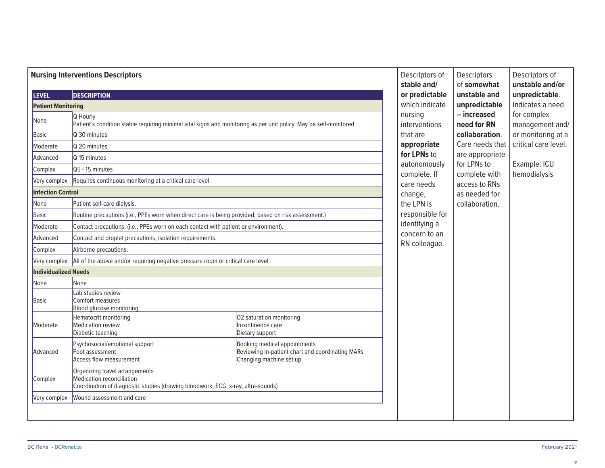| <b>Nursing Interventions Descriptors</b>                                                                                  |                                                                                                                                                                                                                                                                                                                                                                                                                                                                                           |                                                                                                             | Descriptors of<br>stable and/                                                                                                                                                 | Descriptors<br>of somewhat                                                                                                                                             | Descriptors of<br>unstable and/or |                                                                                                              |
|---------------------------------------------------------------------------------------------------------------------------|-------------------------------------------------------------------------------------------------------------------------------------------------------------------------------------------------------------------------------------------------------------------------------------------------------------------------------------------------------------------------------------------------------------------------------------------------------------------------------------------|-------------------------------------------------------------------------------------------------------------|-------------------------------------------------------------------------------------------------------------------------------------------------------------------------------|------------------------------------------------------------------------------------------------------------------------------------------------------------------------|-----------------------------------|--------------------------------------------------------------------------------------------------------------|
| <b>LEVEL</b>                                                                                                              | <b>DESCRIPTION</b>                                                                                                                                                                                                                                                                                                                                                                                                                                                                        |                                                                                                             | or predictable                                                                                                                                                                | unstable and                                                                                                                                                           | unpredictable.                    |                                                                                                              |
| <b>Patient Monitoring</b>                                                                                                 |                                                                                                                                                                                                                                                                                                                                                                                                                                                                                           |                                                                                                             | which indicate                                                                                                                                                                | unpredictable                                                                                                                                                          | Indicates a need                  |                                                                                                              |
| None<br>Basic<br>Moderate<br>Advanced<br>Complex<br>Very complex<br><b>Infection Control</b><br>None<br>Basic<br>Moderate | Q Hourly<br>Patient's condition stable requiring minimal vital signs and monitoring as per unit policy. May be self-monitored.<br>Q 30 minutes<br>Q 20 minutes<br>Q 15 minutes<br>Q5 - 15 minutes<br>Requires continuous monitoring at a critical care level<br>Patient self-care dialysis.<br>Routine precautions (i.e., PPEs worn when direct care is being provided, based on risk assessment.)<br>Contact precautions. (i.e., PPEs worn on each contact with patient or environment). |                                                                                                             | nursing<br>interventions<br>that are<br>appropriate<br>for LPNs to<br>autonomously<br>complete. If<br>care needs<br>change,<br>the LPN is<br>responsible for<br>identifying a | - increased<br>need for RN<br>collaboration.<br>Care needs that<br>are appropriate<br>for LPNs to<br>complete with<br>access to RNs<br>as needed for<br>collaboration. |                                   | for complex<br>management and/<br>or monitoring at a<br>critical care level.<br>Example: ICU<br>hemodialysis |
| Advanced                                                                                                                  | Contact and droplet precautions, isolation requirements.                                                                                                                                                                                                                                                                                                                                                                                                                                  |                                                                                                             | concern to an<br>RN colleague.                                                                                                                                                |                                                                                                                                                                        |                                   |                                                                                                              |
| Complex                                                                                                                   | Airborne precautions.                                                                                                                                                                                                                                                                                                                                                                                                                                                                     |                                                                                                             |                                                                                                                                                                               |                                                                                                                                                                        |                                   |                                                                                                              |
| Very complex                                                                                                              | All of the above and/or requiring negative pressure room or critical care level.                                                                                                                                                                                                                                                                                                                                                                                                          |                                                                                                             |                                                                                                                                                                               |                                                                                                                                                                        |                                   |                                                                                                              |
| <b>Individualized Needs</b>                                                                                               |                                                                                                                                                                                                                                                                                                                                                                                                                                                                                           |                                                                                                             |                                                                                                                                                                               |                                                                                                                                                                        |                                   |                                                                                                              |
| None                                                                                                                      | None                                                                                                                                                                                                                                                                                                                                                                                                                                                                                      |                                                                                                             |                                                                                                                                                                               |                                                                                                                                                                        |                                   |                                                                                                              |
| Basic                                                                                                                     | Lab studies review<br>Comfort measures<br>Blood glucose monitoring                                                                                                                                                                                                                                                                                                                                                                                                                        |                                                                                                             |                                                                                                                                                                               |                                                                                                                                                                        |                                   |                                                                                                              |
| Moderate                                                                                                                  | Hematocrit monitoring<br>Medication review<br>Diabetic teaching                                                                                                                                                                                                                                                                                                                                                                                                                           | O2 saturation monitoring<br>Incontinence care<br>Dietary support                                            |                                                                                                                                                                               |                                                                                                                                                                        |                                   |                                                                                                              |
| Advanced                                                                                                                  | Psychosocial/emotional support<br>Foot assessment<br>Access flow measurement                                                                                                                                                                                                                                                                                                                                                                                                              | Booking medical appointments<br>Reviewing in-patient chart and coordinating MARs<br>Changing machine set up |                                                                                                                                                                               |                                                                                                                                                                        |                                   |                                                                                                              |
| Complex                                                                                                                   | Organizing travel arrangements<br>Medication reconciliation<br>Coordination of diagnostic studies (drawing bloodwork, ECG, x-ray, ultra-sounds)                                                                                                                                                                                                                                                                                                                                           |                                                                                                             |                                                                                                                                                                               |                                                                                                                                                                        |                                   |                                                                                                              |
| Very complex                                                                                                              | Wound assessment and care                                                                                                                                                                                                                                                                                                                                                                                                                                                                 |                                                                                                             |                                                                                                                                                                               |                                                                                                                                                                        |                                   |                                                                                                              |
|                                                                                                                           |                                                                                                                                                                                                                                                                                                                                                                                                                                                                                           |                                                                                                             |                                                                                                                                                                               |                                                                                                                                                                        |                                   |                                                                                                              |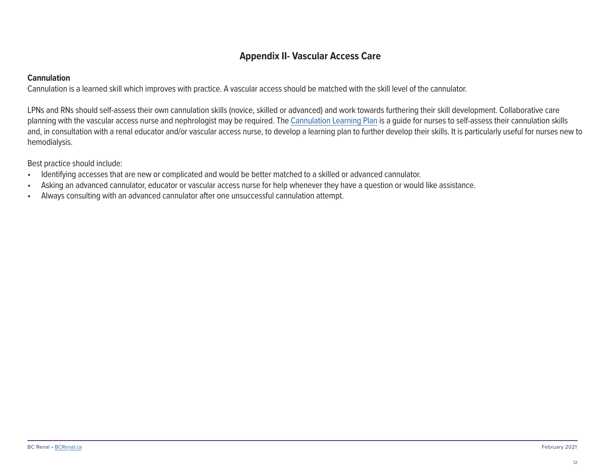#### **Appendix II- Vascular Access Care**

#### <span id="page-13-0"></span>**Cannulation**

Cannulation is a learned skill which improves with practice. A vascular access should be matched with the skill level of the cannulator.

LPNs and RNs should self-assess their own cannulation skills (novice, skilled or advanced) and work towards furthering their skill development. Collaborative care planning with the vascular access nurse and nephrologist may be required. The [Cannulation Learning Plan](http://www.bcrenal.ca/resource-gallery/Documents/Cannulation%20Learning%20Plan.pdf) is a guide for nurses to self-assess their cannulation skills and, in consultation with a renal educator and/or vascular access nurse, to develop a learning plan to further develop their skills. It is particularly useful for nurses new to hemodialysis.

Best practice should include:

- Identifying accesses that are new or complicated and would be better matched to a skilled or advanced cannulator.
- Asking an advanced cannulator, educator or vascular access nurse for help whenever they have a question or would like assistance.
- Always consulting with an advanced cannulator after one unsuccessful cannulation attempt.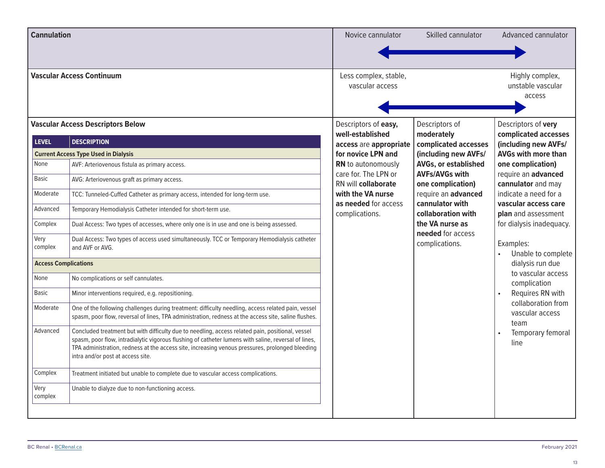| <b>Cannulation</b>                                               |                                                                                                                                                                                                                                                                                                                                                                                                              | Novice cannulator                                                                                                                                                                | Skilled cannulator                                                                                                                                                                                                                                  | Advanced cannulator                                                                                                                                                                                                      |
|------------------------------------------------------------------|--------------------------------------------------------------------------------------------------------------------------------------------------------------------------------------------------------------------------------------------------------------------------------------------------------------------------------------------------------------------------------------------------------------|----------------------------------------------------------------------------------------------------------------------------------------------------------------------------------|-----------------------------------------------------------------------------------------------------------------------------------------------------------------------------------------------------------------------------------------------------|--------------------------------------------------------------------------------------------------------------------------------------------------------------------------------------------------------------------------|
|                                                                  |                                                                                                                                                                                                                                                                                                                                                                                                              |                                                                                                                                                                                  |                                                                                                                                                                                                                                                     |                                                                                                                                                                                                                          |
|                                                                  | <b>Vascular Access Continuum</b>                                                                                                                                                                                                                                                                                                                                                                             | Less complex, stable,<br>vascular access                                                                                                                                         |                                                                                                                                                                                                                                                     | Highly complex,<br>unstable vascular<br>access                                                                                                                                                                           |
|                                                                  | <b>Vascular Access Descriptors Below</b>                                                                                                                                                                                                                                                                                                                                                                     | Descriptors of easy,<br>well-established                                                                                                                                         | Descriptors of<br>moderately                                                                                                                                                                                                                        | Descriptors of very<br>complicated accesses                                                                                                                                                                              |
| <b>LEVEL</b><br>None<br>Basic<br>Moderate<br>Advanced<br>Complex | <b>DESCRIPTION</b><br><b>Current Access Type Used in Dialysis</b><br>AVF: Arteriovenous fistula as primary access.<br>AVG: Arteriovenous graft as primary access.<br>TCC: Tunneled-Cuffed Catheter as primary access, intended for long-term use.<br>Temporary Hemodialysis Catheter intended for short-term use.<br>Dual Access: Two types of accesses, where only one is in use and one is being assessed. | access are appropriate<br>for novice LPN and<br>RN to autonomously<br>care for. The LPN or<br>RN will collaborate<br>with the VA nurse<br>as needed for access<br>complications. | complicated accesses<br>(including new AVFs/<br><b>AVGs, or established</b><br><b>AVFs/AVGs with</b><br>one complication)<br>require an advanced<br>cannulator with<br>collaboration with<br>the VA nurse as<br>needed for access<br>complications. | (including new AVFs/<br><b>AVGs with more than</b><br>one complication)<br>require an advanced<br>cannulator and may<br>indicate a need for a<br>vascular access care<br>plan and assessment<br>for dialysis inadequacy. |
| Very<br>complex<br><b>Access Complications</b>                   | Dual Access: Two types of access used simultaneously. TCC or Temporary Hemodialysis catheter<br>and AVF or AVG.                                                                                                                                                                                                                                                                                              |                                                                                                                                                                                  |                                                                                                                                                                                                                                                     | Examples:<br>Unable to complete<br>dialysis run due                                                                                                                                                                      |
| None                                                             | No complications or self cannulates.                                                                                                                                                                                                                                                                                                                                                                         |                                                                                                                                                                                  |                                                                                                                                                                                                                                                     | to vascular access                                                                                                                                                                                                       |
| <b>Basic</b>                                                     | Minor interventions required, e.g. repositioning.                                                                                                                                                                                                                                                                                                                                                            |                                                                                                                                                                                  |                                                                                                                                                                                                                                                     | complication<br>Requires RN with                                                                                                                                                                                         |
| Moderate                                                         | One of the following challenges during treatment: difficulty needling, access related pain, vessel<br>spasm, poor flow, reversal of lines, TPA administration, redness at the access site, saline flushes.                                                                                                                                                                                                   |                                                                                                                                                                                  |                                                                                                                                                                                                                                                     | collaboration from<br>vascular access<br>team                                                                                                                                                                            |
| Advanced                                                         | Concluded treatment but with difficulty due to needling, access related pain, positional, vessel<br>spasm, poor flow, intradialytic vigorous flushing of catheter lumens with saline, reversal of lines,<br>TPA administration, redness at the access site, increasing venous pressures, prolonged bleeding<br>intra and/or post at access site.                                                             |                                                                                                                                                                                  |                                                                                                                                                                                                                                                     | Temporary femoral<br>line                                                                                                                                                                                                |
| Complex                                                          | Treatment initiated but unable to complete due to vascular access complications.                                                                                                                                                                                                                                                                                                                             |                                                                                                                                                                                  |                                                                                                                                                                                                                                                     |                                                                                                                                                                                                                          |
| Very<br>complex                                                  | Unable to dialyze due to non-functioning access.                                                                                                                                                                                                                                                                                                                                                             |                                                                                                                                                                                  |                                                                                                                                                                                                                                                     |                                                                                                                                                                                                                          |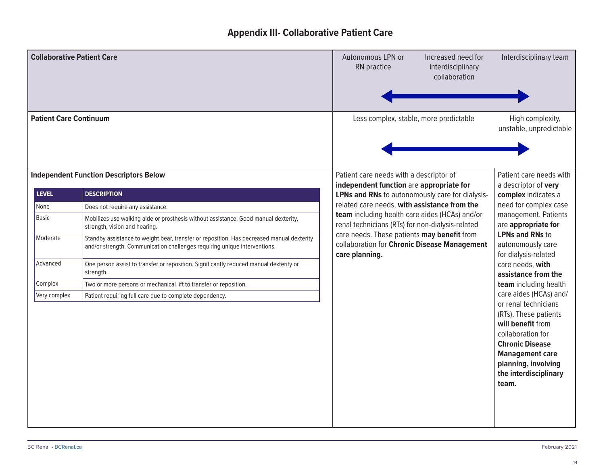## **Appendix III- Collaborative Patient Care**

<span id="page-15-0"></span>

| <b>Collaborative Patient Care</b> |                                                                                                                                                                        | Autonomous LPN or<br>RN practice                                                                              | Increased need for<br>interdisciplinary<br>collaboration                                                                                                      | Interdisciplinary team                                                                                                                                                                                                         |
|-----------------------------------|------------------------------------------------------------------------------------------------------------------------------------------------------------------------|---------------------------------------------------------------------------------------------------------------|---------------------------------------------------------------------------------------------------------------------------------------------------------------|--------------------------------------------------------------------------------------------------------------------------------------------------------------------------------------------------------------------------------|
| <b>Patient Care Continuum</b>     |                                                                                                                                                                        | Less complex, stable, more predictable                                                                        |                                                                                                                                                               | High complexity,<br>unstable, unpredictable                                                                                                                                                                                    |
| <b>LEVEL</b>                      | <b>Independent Function Descriptors Below</b><br><b>DESCRIPTION</b>                                                                                                    | Patient care needs with a descriptor of<br>independent function are appropriate for                           | Patient care needs with<br>a descriptor of very                                                                                                               |                                                                                                                                                                                                                                |
| None                              |                                                                                                                                                                        | LPNs and RNs to autonomously care for dialysis-<br>related care needs, with assistance from the               |                                                                                                                                                               | complex indicates a<br>need for complex case                                                                                                                                                                                   |
| Basic                             | Does not require any assistance.<br>Mobilizes use walking aide or prosthesis without assistance. Good manual dexterity,<br>strength, vision and hearing.               | team including health care aides (HCAs) and/or<br>renal technicians (RTs) for non-dialysis-related            | management. Patients<br>are appropriate for<br><b>LPNs and RNs to</b><br>autonomously care<br>for dialysis-related<br>care needs, with<br>assistance from the |                                                                                                                                                                                                                                |
| Moderate                          | Standby assistance to weight bear, transfer or reposition. Has decreased manual dexterity<br>and/or strength. Communication challenges requiring unique interventions. | care needs. These patients may benefit from<br>collaboration for Chronic Disease Management<br>care planning. |                                                                                                                                                               |                                                                                                                                                                                                                                |
| Advanced                          | One person assist to transfer or reposition. Significantly reduced manual dexterity or<br>strength.                                                                    |                                                                                                               |                                                                                                                                                               |                                                                                                                                                                                                                                |
| Complex                           | Two or more persons or mechanical lift to transfer or reposition.                                                                                                      |                                                                                                               |                                                                                                                                                               | team including health                                                                                                                                                                                                          |
| Very complex                      | Patient requiring full care due to complete dependency.                                                                                                                |                                                                                                               |                                                                                                                                                               | care aides (HCAs) and/<br>or renal technicians<br>(RTs). These patients<br>will benefit from<br>collaboration for<br><b>Chronic Disease</b><br><b>Management care</b><br>planning, involving<br>the interdisciplinary<br>team. |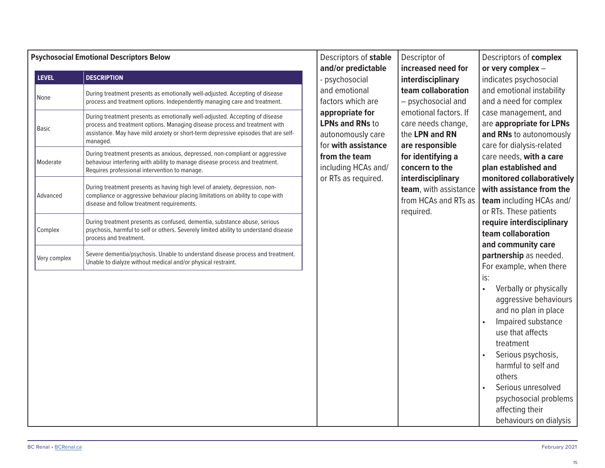|              | <b>Psychosocial Emotional Descriptors Below</b>                                                                                                                                                                                                              | Descriptors of stable                                                                 | Descriptor of                                                                   | Descriptors of complex                                                                                                   |  |                                                               |                                                                                                          |
|--------------|--------------------------------------------------------------------------------------------------------------------------------------------------------------------------------------------------------------------------------------------------------------|---------------------------------------------------------------------------------------|---------------------------------------------------------------------------------|--------------------------------------------------------------------------------------------------------------------------|--|---------------------------------------------------------------|----------------------------------------------------------------------------------------------------------|
| <b>LEVEL</b> | <b>DESCRIPTION</b>                                                                                                                                                                                                                                           | and/or predictable                                                                    | increased need for                                                              | or very complex -                                                                                                        |  |                                                               |                                                                                                          |
| None         | During treatment presents as emotionally well-adjusted. Accepting of disease<br>process and treatment options. Independently managing care and treatment.                                                                                                    | psychosocial<br>and emotional<br>factors which are                                    | interdisciplinary<br>team collaboration<br>- psychosocial and                   | indicates psychosocial<br>and emotional instability<br>and a need for complex                                            |  |                                                               |                                                                                                          |
| Basic        | During treatment presents as emotionally well-adjusted. Accepting of disease<br>process and treatment options. Managing disease process and treatment with<br>assistance. May have mild anxiety or short-term depressive episodes that are self-<br>managed. | appropriate for<br><b>LPNs and RNs to</b><br>autonomously care<br>for with assistance |                                                                                 |                                                                                                                          |  | emotional factors. If<br>care needs change,<br>the LPN and RN | case management, and<br>are appropriate for LPNs<br>and RNs to autonomously<br>care for dialysis-related |
| Moderate     | During treatment presents as anxious, depressed, non-compliant or aggressive<br>behaviour interfering with ability to manage disease process and treatment.<br>Requires professional intervention to manage.                                                 | from the team<br>including HCAs and/                                                  | are responsible<br>for identifying a<br>concern to the                          | care needs, with a care<br>plan established and                                                                          |  |                                                               |                                                                                                          |
| Advanced     | During treatment presents as having high level of anxiety, depression, non-<br>compliance or aggressive behaviour placing limitations on ability to cope with<br>disease and follow treatment requirements.                                                  | or RTs as required.                                                                   | interdisciplinary<br>team, with assistance<br>from HCAs and RTs as<br>required. | monitored collaboratively<br>with assistance from the<br>team including HCAs and/<br>or RTs. These patients              |  |                                                               |                                                                                                          |
| Complex      | During treatment presents as confused, dementia, substance abuse, serious<br>psychosis, harmful to self or others. Severely limited ability to understand disease<br>process and treatment.                                                                  |                                                                                       |                                                                                 | require interdisciplinary<br>team collaboration<br>and community care                                                    |  |                                                               |                                                                                                          |
| Very complex | Severe dementia/psychosis. Unable to understand disease process and treatment.<br>Unable to dialyze without medical and/or physical restraint.                                                                                                               |                                                                                       |                                                                                 | partnership as needed.<br>For example, when there<br>is:<br>Verbally or physically<br>$\bullet$<br>aggressive behaviours |  |                                                               |                                                                                                          |
|              |                                                                                                                                                                                                                                                              |                                                                                       |                                                                                 | and no plan in place<br>Impaired substance<br>use that affects<br>treatment<br>Serious psychosis,<br>harmful to self and |  |                                                               |                                                                                                          |
|              |                                                                                                                                                                                                                                                              |                                                                                       |                                                                                 | others<br>Serious unresolved<br>psychosocial problems<br>affecting their<br>behaviours on dialysis                       |  |                                                               |                                                                                                          |